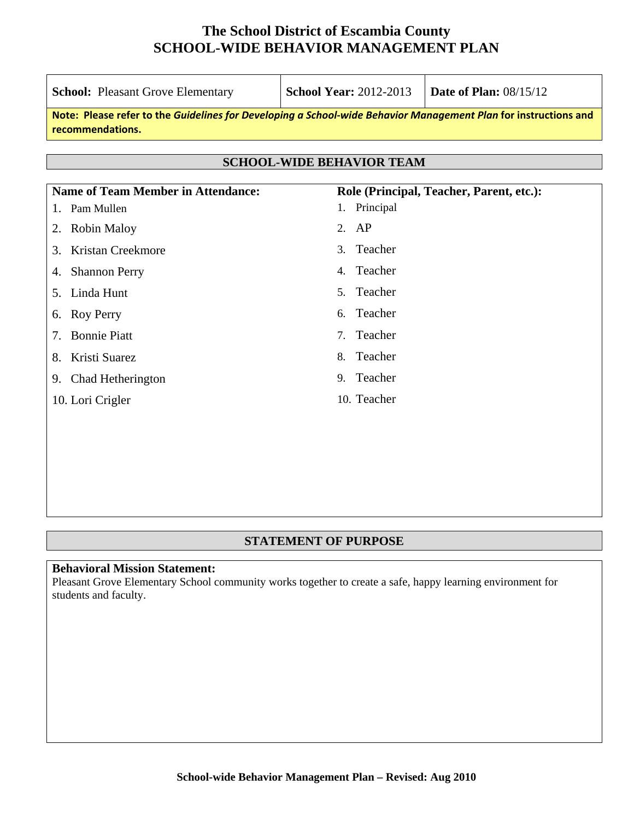| <b>School:</b> Pleasant Grove Elementary                                                                                            | <b>School Year: 2012-2013</b>               | <b>Date of Plan: 08/15/12</b>            |  |  |  |  |
|-------------------------------------------------------------------------------------------------------------------------------------|---------------------------------------------|------------------------------------------|--|--|--|--|
| Note: Please refer to the Guidelines for Developing a School-wide Behavior Management Plan for instructions and<br>recommendations. |                                             |                                          |  |  |  |  |
|                                                                                                                                     |                                             |                                          |  |  |  |  |
|                                                                                                                                     | <b>SCHOOL-WIDE BEHAVIOR TEAM</b>            |                                          |  |  |  |  |
| <b>Name of Team Member in Attendance:</b>                                                                                           |                                             | Role (Principal, Teacher, Parent, etc.): |  |  |  |  |
| 1. Pam Mullen                                                                                                                       | 1. Principal                                |                                          |  |  |  |  |
| <b>Robin Maloy</b><br>2.                                                                                                            | 2. $AP$                                     |                                          |  |  |  |  |
| Kristan Creekmore<br>3.                                                                                                             | Teacher<br>3 <sub>1</sub>                   |                                          |  |  |  |  |
| <b>Shannon Perry</b><br>4.                                                                                                          | Teacher<br>4.                               |                                          |  |  |  |  |
| 5. Linda Hunt                                                                                                                       | Teacher<br>5 <sub>1</sub>                   |                                          |  |  |  |  |
| Roy Perry<br>6.                                                                                                                     | Teacher<br>б.                               |                                          |  |  |  |  |
| <b>Bonnie Piatt</b><br>7.                                                                                                           | Teacher<br>$7_{\scriptscriptstyle{\ddots}}$ |                                          |  |  |  |  |
| Kristi Suarez<br>8.                                                                                                                 | Teacher<br>8.                               |                                          |  |  |  |  |
| 9. Chad Hetherington                                                                                                                | Teacher<br>9.                               |                                          |  |  |  |  |
| 10. Lori Crigler                                                                                                                    | 10. Teacher                                 |                                          |  |  |  |  |
|                                                                                                                                     |                                             |                                          |  |  |  |  |
|                                                                                                                                     |                                             |                                          |  |  |  |  |

### **STATEMENT OF PURPOSE**

## **Behavioral Mission Statement:**

Pleasant Grove Elementary School community works together to create a safe, happy learning environment for students and faculty.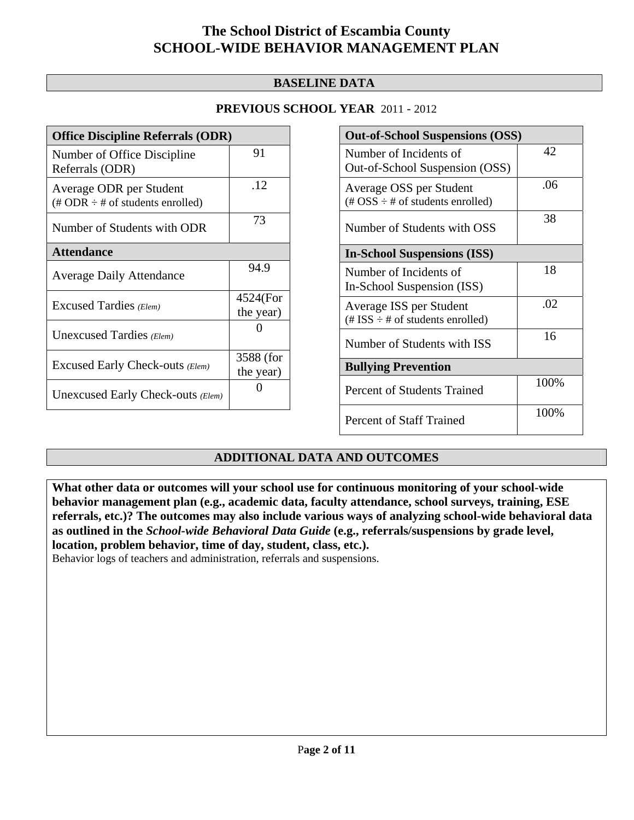### **BASELINE DATA**

### **PREVIOUS SCHOOL YEAR** 2011 - 2012

| <b>Office Discipline Referrals (ODR)</b>                                         |                       |  |
|----------------------------------------------------------------------------------|-----------------------|--|
| Number of Office Discipline<br>Referrals (ODR)                                   | 91                    |  |
| Average ODR per Student<br>$(\text{\# ODR} \div \text{\# of students enrolled})$ | .12                   |  |
| Number of Students with ODR                                                      | 73                    |  |
| <b>Attendance</b>                                                                |                       |  |
| <b>Average Daily Attendance</b>                                                  | 94.9                  |  |
| Excused Tardies (Elem)                                                           | 4524(For<br>the year) |  |
| Unexcused Tardies (Elem)                                                         |                       |  |
| Excused Early Check-outs (Elem)                                                  | 3588 (for             |  |
|                                                                                  | the year)             |  |
| Unexcused Early Check-outs (Elem)                                                |                       |  |

| <b>Out-of-School Suspensions (OSS)</b>                                                          |      |  |
|-------------------------------------------------------------------------------------------------|------|--|
| Number of Incidents of<br>Out-of-School Suspension (OSS)                                        | 42   |  |
| Average OSS per Student<br>$(\text{\#} \text{OSS} \div \text{\#} \text{ of students enrolled})$ | .06  |  |
| Number of Students with OSS                                                                     | 38   |  |
| <b>In-School Suspensions (ISS)</b>                                                              |      |  |
| Number of Incidents of<br>In-School Suspension (ISS)                                            | 18   |  |
| Average ISS per Student<br>(# ISS $\div$ # of students enrolled)                                | .02  |  |
| Number of Students with ISS                                                                     | 16   |  |
| <b>Bullying Prevention</b>                                                                      |      |  |
| Percent of Students Trained                                                                     | 100% |  |
| Percent of Staff Trained                                                                        | 100% |  |

### **ADDITIONAL DATA AND OUTCOMES**

**What other data or outcomes will your school use for continuous monitoring of your school-wide behavior management plan (e.g., academic data, faculty attendance, school surveys, training, ESE referrals, etc.)? The outcomes may also include various ways of analyzing school-wide behavioral data as outlined in the** *School-wide Behavioral Data Guide* **(e.g., referrals/suspensions by grade level, location, problem behavior, time of day, student, class, etc.).**

Behavior logs of teachers and administration, referrals and suspensions.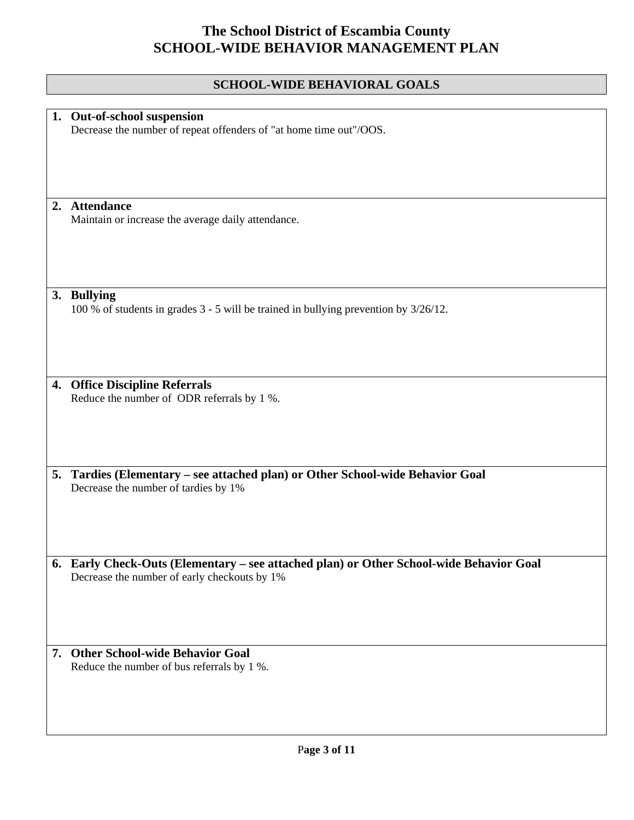## **SCHOOL-WIDE BEHAVIORAL GOALS**

|    | 1. Out-of-school suspension                                                             |
|----|-----------------------------------------------------------------------------------------|
|    | Decrease the number of repeat offenders of "at home time out"/OOS.                      |
|    |                                                                                         |
|    |                                                                                         |
|    |                                                                                         |
|    |                                                                                         |
|    |                                                                                         |
|    | 2. Attendance                                                                           |
|    | Maintain or increase the average daily attendance.                                      |
|    |                                                                                         |
|    |                                                                                         |
|    |                                                                                         |
|    |                                                                                         |
|    |                                                                                         |
|    | 3. Bullying                                                                             |
|    | 100 % of students in grades 3 - 5 will be trained in bullying prevention by 3/26/12.    |
|    |                                                                                         |
|    |                                                                                         |
|    |                                                                                         |
|    |                                                                                         |
|    |                                                                                         |
| 4. | <b>Office Discipline Referrals</b>                                                      |
|    | Reduce the number of ODR referrals by 1 %.                                              |
|    |                                                                                         |
|    |                                                                                         |
|    |                                                                                         |
|    |                                                                                         |
|    |                                                                                         |
| 5. | Tardies (Elementary - see attached plan) or Other School-wide Behavior Goal             |
|    | Decrease the number of tardies by 1%                                                    |
|    |                                                                                         |
|    |                                                                                         |
|    |                                                                                         |
|    |                                                                                         |
|    |                                                                                         |
|    | 6. Early Check-Outs (Elementary - see attached plan) or Other School-wide Behavior Goal |
|    | Decrease the number of early checkouts by 1%                                            |
|    |                                                                                         |
|    |                                                                                         |
|    |                                                                                         |
|    |                                                                                         |
|    | 7. Other School-wide Behavior Goal                                                      |
|    |                                                                                         |
|    | Reduce the number of bus referrals by 1 %.                                              |
|    |                                                                                         |
|    |                                                                                         |
|    |                                                                                         |
|    |                                                                                         |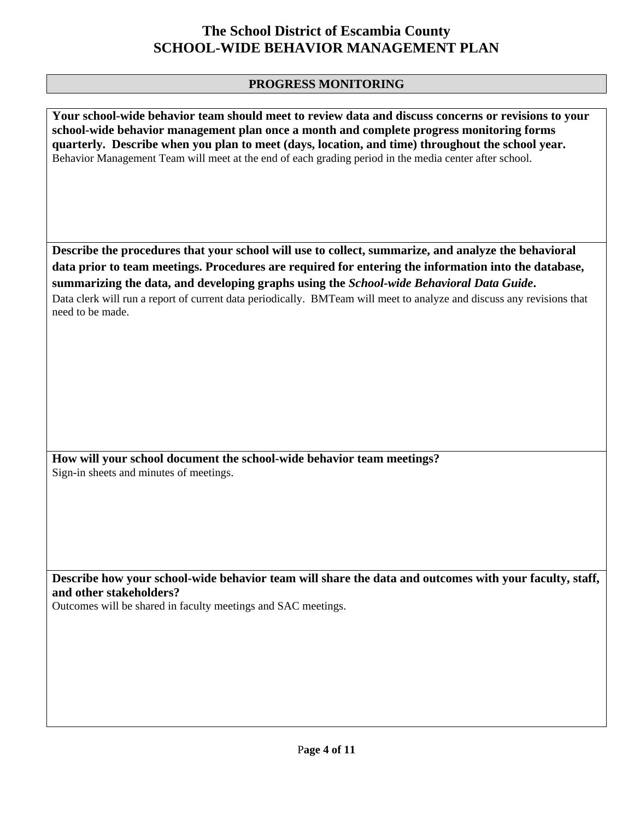### **PROGRESS MONITORING**

**Your school-wide behavior team should meet to review data and discuss concerns or revisions to your school-wide behavior management plan once a month and complete progress monitoring forms quarterly. Describe when you plan to meet (days, location, and time) throughout the school year.**  Behavior Management Team will meet at the end of each grading period in the media center after school.

**Describe the procedures that your school will use to collect, summarize, and analyze the behavioral data prior to team meetings. Procedures are required for entering the information into the database, summarizing the data, and developing graphs using the** *School-wide Behavioral Data Guide***.** 

Data clerk will run a report of current data periodically. BMTeam will meet to analyze and discuss any revisions that need to be made.

**How will your school document the school-wide behavior team meetings?** Sign-in sheets and minutes of meetings.

**Describe how your school-wide behavior team will share the data and outcomes with your faculty, staff, and other stakeholders?** 

Outcomes will be shared in faculty meetings and SAC meetings.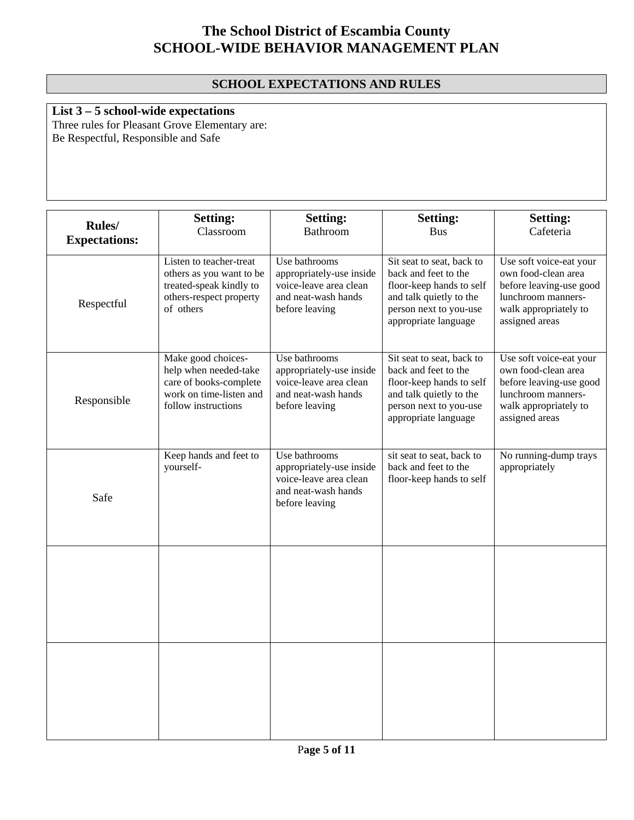### **SCHOOL EXPECTATIONS AND RULES**

## **List 3 – 5 school-wide expectations**

Three rules for Pleasant Grove Elementary are: Be Respectful, Responsible and Safe

| <b>Rules</b> /<br><b>Expectations:</b> | <b>Setting:</b><br>Classroom                                                                                            | <b>Setting:</b><br><b>Bathroom</b>                                                                           | <b>Setting:</b><br><b>Bus</b>                                                                                                                              | <b>Setting:</b><br>Cafeteria                                                                                                               |
|----------------------------------------|-------------------------------------------------------------------------------------------------------------------------|--------------------------------------------------------------------------------------------------------------|------------------------------------------------------------------------------------------------------------------------------------------------------------|--------------------------------------------------------------------------------------------------------------------------------------------|
| Respectful                             | Listen to teacher-treat<br>others as you want to be<br>treated-speak kindly to<br>others-respect property<br>of others  | Use bathrooms<br>appropriately-use inside<br>voice-leave area clean<br>and neat-wash hands<br>before leaving | Sit seat to seat, back to<br>back and feet to the<br>floor-keep hands to self<br>and talk quietly to the<br>person next to you-use<br>appropriate language | Use soft voice-eat your<br>own food-clean area<br>before leaving-use good<br>lunchroom manners-<br>walk appropriately to<br>assigned areas |
| Responsible                            | Make good choices-<br>help when needed-take<br>care of books-complete<br>work on time-listen and<br>follow instructions | Use bathrooms<br>appropriately-use inside<br>voice-leave area clean<br>and neat-wash hands<br>before leaving | Sit seat to seat, back to<br>back and feet to the<br>floor-keep hands to self<br>and talk quietly to the<br>person next to you-use<br>appropriate language | Use soft voice-eat your<br>own food-clean area<br>before leaving-use good<br>lunchroom manners-<br>walk appropriately to<br>assigned areas |
| Safe                                   | Keep hands and feet to<br>yourself-                                                                                     | Use bathrooms<br>appropriately-use inside<br>voice-leave area clean<br>and neat-wash hands<br>before leaving | sit seat to seat, back to<br>back and feet to the<br>floor-keep hands to self                                                                              | No running-dump trays<br>appropriately                                                                                                     |
|                                        |                                                                                                                         |                                                                                                              |                                                                                                                                                            |                                                                                                                                            |
|                                        |                                                                                                                         |                                                                                                              |                                                                                                                                                            |                                                                                                                                            |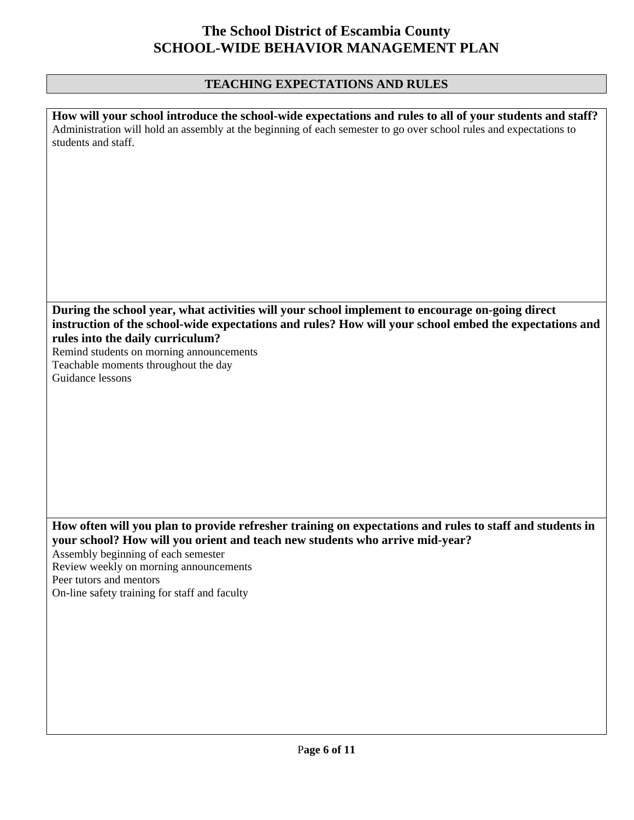## **TEACHING EXPECTATIONS AND RULES**

| How will your school introduce the school-wide expectations and rules to all of your students and staff?<br>Administration will hold an assembly at the beginning of each semester to go over school rules and expectations to<br>students and staff. |
|-------------------------------------------------------------------------------------------------------------------------------------------------------------------------------------------------------------------------------------------------------|
| During the school year, what activities will your school implement to encourage on-going direct                                                                                                                                                       |
| instruction of the school-wide expectations and rules? How will your school embed the expectations and<br>rules into the daily curriculum?                                                                                                            |
| Remind students on morning announcements                                                                                                                                                                                                              |
| Teachable moments throughout the day                                                                                                                                                                                                                  |
| Guidance lessons                                                                                                                                                                                                                                      |
|                                                                                                                                                                                                                                                       |
|                                                                                                                                                                                                                                                       |
|                                                                                                                                                                                                                                                       |
|                                                                                                                                                                                                                                                       |
|                                                                                                                                                                                                                                                       |
|                                                                                                                                                                                                                                                       |
|                                                                                                                                                                                                                                                       |
| How often will you plan to provide refresher training on expectations and rules to staff and students in<br>your school? How will you orient and teach new students who arrive mid-year?<br>Assembly beginning of each semester                       |
| Review weekly on morning announcements                                                                                                                                                                                                                |
| Peer tutors and mentors<br>On-line safety training for staff and faculty                                                                                                                                                                              |
|                                                                                                                                                                                                                                                       |
|                                                                                                                                                                                                                                                       |
|                                                                                                                                                                                                                                                       |
|                                                                                                                                                                                                                                                       |
|                                                                                                                                                                                                                                                       |
|                                                                                                                                                                                                                                                       |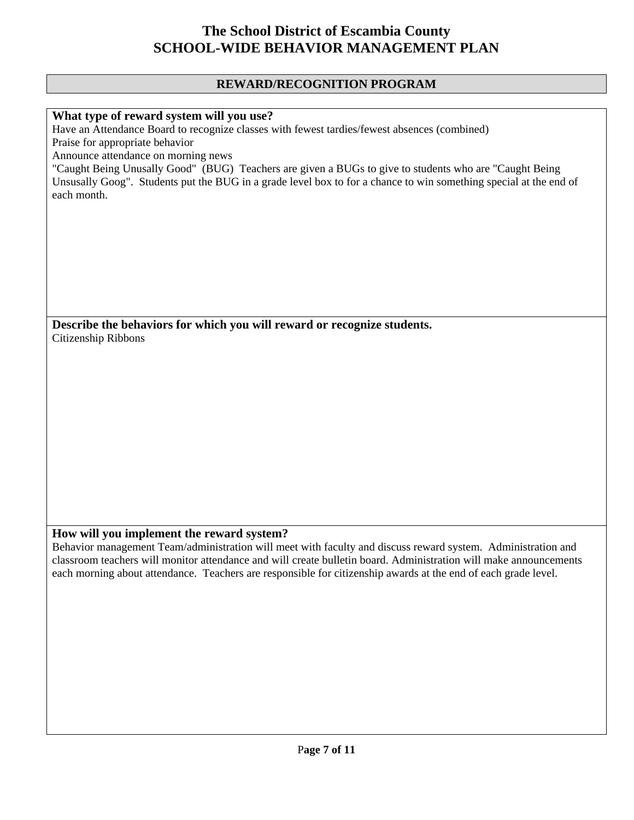#### **REWARD/RECOGNITION PROGRAM**

#### **What type of reward system will you use?**

Have an Attendance Board to recognize classes with fewest tardies/fewest absences (combined) Praise for appropriate behavior

Announce attendance on morning news

"Caught Being Unusally Good" (BUG) Teachers are given a BUGs to give to students who are "Caught Being Unsusally Goog". Students put the BUG in a grade level box to for a chance to win something special at the end of each month.

**Describe the behaviors for which you will reward or recognize students.**  Citizenship Ribbons

#### **How will you implement the reward system?**

Behavior management Team/administration will meet with faculty and discuss reward system. Administration and classroom teachers will monitor attendance and will create bulletin board. Administration will make announcements each morning about attendance. Teachers are responsible for citizenship awards at the end of each grade level.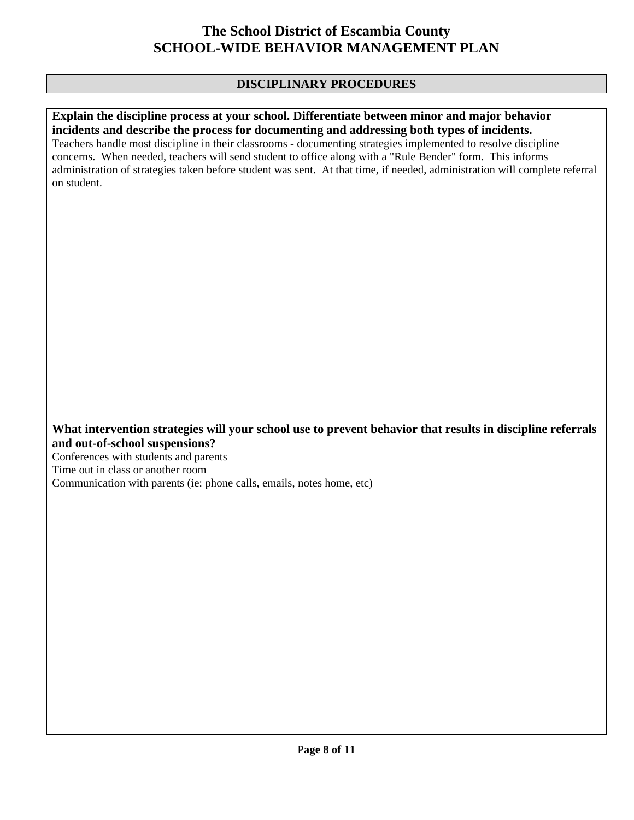### **DISCIPLINARY PROCEDURES**

## **Explain the discipline process at your school. Differentiate between minor and major behavior incidents and describe the process for documenting and addressing both types of incidents.**

Teachers handle most discipline in their classrooms - documenting strategies implemented to resolve discipline concerns. When needed, teachers will send student to office along with a "Rule Bender" form. This informs administration of strategies taken before student was sent. At that time, if needed, administration will complete referral on student.

**What intervention strategies will your school use to prevent behavior that results in discipline referrals and out-of-school suspensions?** 

Conferences with students and parents Time out in class or another room Communication with parents (ie: phone calls, emails, notes home, etc)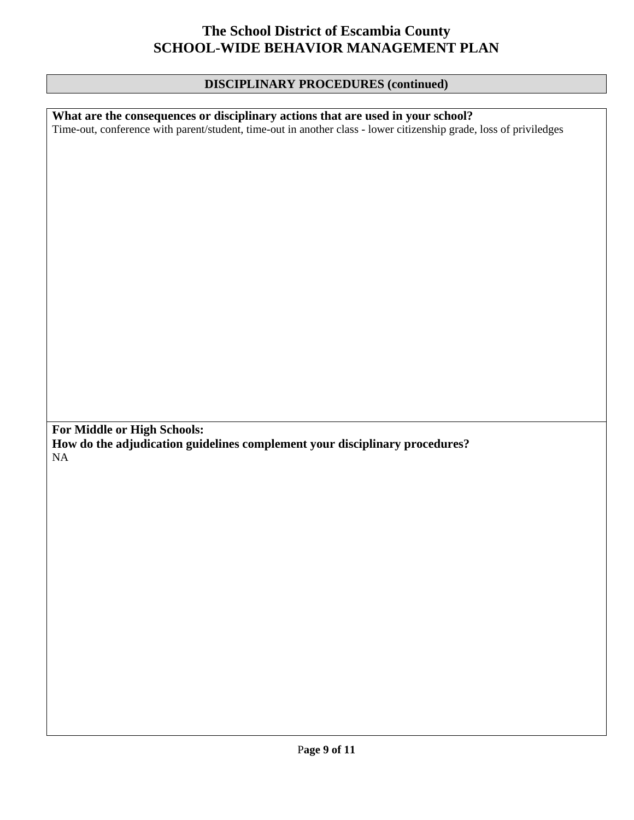### **DISCIPLINARY PROCEDURES (continued)**

**What are the consequences or disciplinary actions that are used in your school?**  Time-out, conference with parent/student, time-out in another class - lower citizenship grade, loss of priviledges **For Middle or High Schools: How do the adjudication guidelines complement your disciplinary procedures?**  NA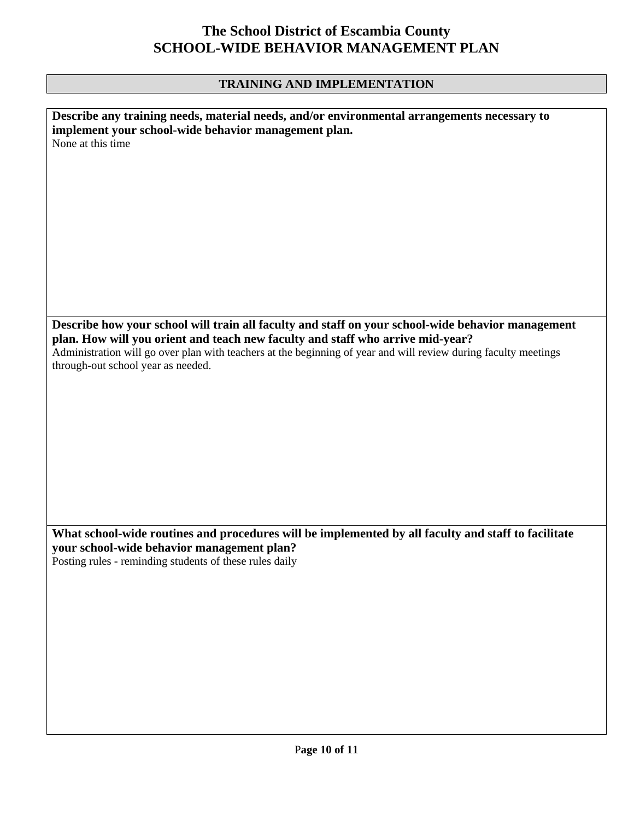## **TRAINING AND IMPLEMENTATION**

| Describe any training needs, material needs, and/or environmental arrangements necessary to                     |
|-----------------------------------------------------------------------------------------------------------------|
|                                                                                                                 |
| implement your school-wide behavior management plan.                                                            |
| None at this time                                                                                               |
|                                                                                                                 |
|                                                                                                                 |
|                                                                                                                 |
|                                                                                                                 |
|                                                                                                                 |
|                                                                                                                 |
|                                                                                                                 |
|                                                                                                                 |
|                                                                                                                 |
|                                                                                                                 |
|                                                                                                                 |
|                                                                                                                 |
|                                                                                                                 |
|                                                                                                                 |
|                                                                                                                 |
|                                                                                                                 |
|                                                                                                                 |
|                                                                                                                 |
|                                                                                                                 |
|                                                                                                                 |
|                                                                                                                 |
| Describe how your school will train all faculty and staff on your school-wide behavior management               |
| plan. How will you orient and teach new faculty and staff who arrive mid-year?                                  |
|                                                                                                                 |
| Administration will go over plan with teachers at the beginning of year and will review during faculty meetings |
| through-out school year as needed.                                                                              |
|                                                                                                                 |
|                                                                                                                 |
|                                                                                                                 |
|                                                                                                                 |
|                                                                                                                 |
|                                                                                                                 |
|                                                                                                                 |
|                                                                                                                 |
|                                                                                                                 |
|                                                                                                                 |
|                                                                                                                 |
|                                                                                                                 |
|                                                                                                                 |
|                                                                                                                 |
|                                                                                                                 |
|                                                                                                                 |
|                                                                                                                 |
|                                                                                                                 |
|                                                                                                                 |
| What school-wide routines and procedures will be implemented by all faculty and staff to facilitate             |
|                                                                                                                 |
| your school-wide behavior management plan?                                                                      |
| Posting rules - reminding students of these rules daily                                                         |
|                                                                                                                 |
|                                                                                                                 |
|                                                                                                                 |
|                                                                                                                 |
|                                                                                                                 |
|                                                                                                                 |
|                                                                                                                 |
|                                                                                                                 |
|                                                                                                                 |
|                                                                                                                 |
|                                                                                                                 |
|                                                                                                                 |
|                                                                                                                 |
|                                                                                                                 |
|                                                                                                                 |